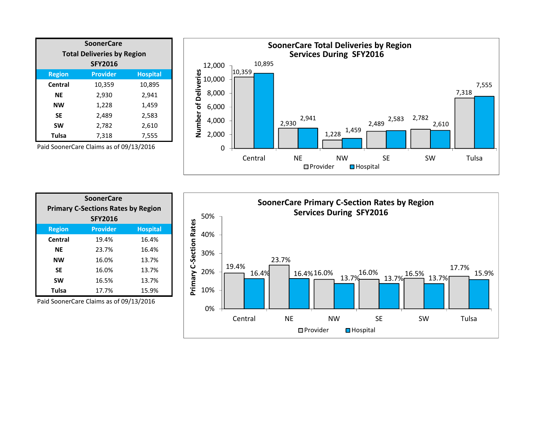| <b>SoonerCare</b>                 |                 |                 |  |  |
|-----------------------------------|-----------------|-----------------|--|--|
| <b>Total Deliveries by Region</b> |                 |                 |  |  |
| <b>SFY2016</b>                    |                 |                 |  |  |
| <b>Region</b>                     | <b>Provider</b> | <b>Hospital</b> |  |  |
| Central                           | 10,359          | 10,895          |  |  |
| ΝE                                | 2,930           | 2,941           |  |  |
| <b>NW</b>                         | 1,228           | 1,459           |  |  |
| <b>SE</b>                         | 2,489           | 2,583           |  |  |
| <b>SW</b>                         | 2,782           | 2,610           |  |  |
| <b>Tulsa</b>                      | 7,318           | 7,555           |  |  |





| <b>SoonerCare</b><br><b>Primary C-Sections Rates by Region</b> |                 |                 |  |  |
|----------------------------------------------------------------|-----------------|-----------------|--|--|
|                                                                |                 |                 |  |  |
| <b>Region</b>                                                  | <b>Provider</b> | <b>Hospital</b> |  |  |
| Central                                                        | 19.4%           | 16.4%           |  |  |
| ΝE                                                             | 23.7%           | 16.4%           |  |  |
| <b>NW</b>                                                      | 16.0%           | 13.7%           |  |  |
| <b>SE</b>                                                      | 16.0%           | 13.7%           |  |  |
| <b>SW</b>                                                      | 16.5%           | 13.7%           |  |  |
| Tulsa                                                          | 17.7%           | 15.9%           |  |  |

Paid SoonerCare Claims as of 09/13/2016